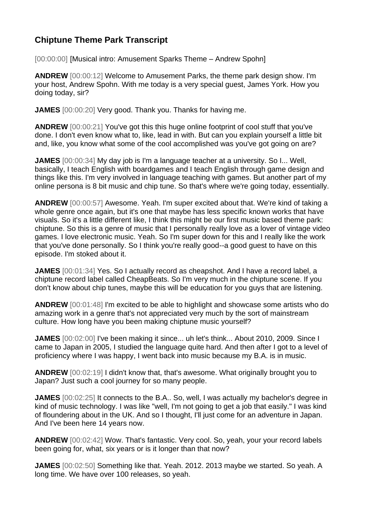## **Chiptune Theme Park Transcript**

[00:00:00] [Musical intro: Amusement Sparks Theme – Andrew Spohn]

**ANDREW** [00:00:12] Welcome to Amusement Parks, the theme park design show. I'm your host, Andrew Spohn. With me today is a very special guest, James York. How you doing today, sir?

**JAMES** [00:00:20] Very good. Thank you. Thanks for having me.

**ANDREW** [00:00:21] You've got this this huge online footprint of cool stuff that you've done. I don't even know what to, like, lead in with. But can you explain yourself a little bit and, like, you know what some of the cool accomplished was you've got going on are?

**JAMES** [00:00:34] My day job is I'm a language teacher at a university. So I... Well, basically, I teach English with boardgames and I teach English through game design and things like this. I'm very involved in language teaching with games. But another part of my online persona is 8 bit music and chip tune. So that's where we're going today, essentially.

**ANDREW** [00:00:57] Awesome. Yeah. I'm super excited about that. We're kind of taking a whole genre once again, but it's one that maybe has less specific known works that have visuals. So it's a little different like, I think this might be our first music based theme park: chiptune. So this is a genre of music that I personally really love as a lover of vintage video games. I love electronic music. Yeah. So I'm super down for this and I really like the work that you've done personally. So I think you're really good--a good guest to have on this episode. I'm stoked about it.

**JAMES** [00:01:34] Yes. So I actually record as cheapshot. And I have a record label, a chiptune record label called CheapBeats. So I'm very much in the chiptune scene. If you don't know about chip tunes, maybe this will be education for you guys that are listening.

**ANDREW** [00:01:48] I'm excited to be able to highlight and showcase some artists who do amazing work in a genre that's not appreciated very much by the sort of mainstream culture. How long have you been making chiptune music yourself?

**JAMES** [00:02:00] I've been making it since... uh let's think... About 2010, 2009. Since I came to Japan in 2005, I studied the language quite hard. And then after I got to a level of proficiency where I was happy, I went back into music because my B.A. is in music.

**ANDREW** [00:02:19] I didn't know that, that's awesome. What originally brought you to Japan? Just such a cool journey for so many people.

**JAMES** [00:02:25] It connects to the B.A.. So, well, I was actually my bachelor's degree in kind of music technology. I was like "well, I'm not going to get a job that easily." I was kind of floundering about in the UK. And so I thought, I'll just come for an adventure in Japan. And I've been here 14 years now.

**ANDREW** [00:02:42] Wow. That's fantastic. Very cool. So, yeah, your your record labels been going for, what, six years or is it longer than that now?

**JAMES** [00:02:50] Something like that. Yeah. 2012. 2013 maybe we started. So yeah. A long time. We have over 100 releases, so yeah.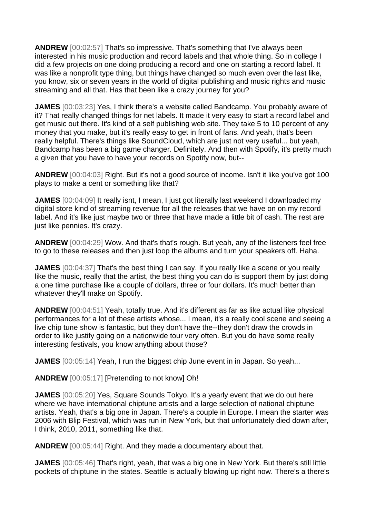**ANDREW** [00:02:57] That's so impressive. That's something that I've always been interested in his music production and record labels and that whole thing. So in college I did a few projects on one doing producing a record and one on starting a record label. It was like a nonprofit type thing, but things have changed so much even over the last like, you know, six or seven years in the world of digital publishing and music rights and music streaming and all that. Has that been like a crazy journey for you?

**JAMES** [00:03:23] Yes, I think there's a website called Bandcamp. You probably aware of it? That really changed things for net labels. It made it very easy to start a record label and get music out there. It's kind of a self publishing web site. They take 5 to 10 percent of any money that you make, but it's really easy to get in front of fans. And yeah, that's been really helpful. There's things like SoundCloud, which are just not very useful... but yeah, Bandcamp has been a big game changer. Definitely. And then with Spotify, it's pretty much a given that you have to have your records on Spotify now, but--

**ANDREW** [00:04:03] Right. But it's not a good source of income. Isn't it like you've got 100 plays to make a cent or something like that?

**JAMES** [00:04:09] It really isnt, I mean, I just got literally last weekend I downloaded my digital store kind of streaming revenue for all the releases that we have on on my record label. And it's like just maybe two or three that have made a little bit of cash. The rest are just like pennies. It's crazy.

**ANDREW** [00:04:29] Wow. And that's that's rough. But yeah, any of the listeners feel free to go to these releases and then just loop the albums and turn your speakers off. Haha.

**JAMES** [00:04:37] That's the best thing I can say. If you really like a scene or you really like the music, really that the artist, the best thing you can do is support them by just doing a one time purchase like a couple of dollars, three or four dollars. It's much better than whatever they'll make on Spotify.

**ANDREW** [00:04:51] Yeah, totally true. And it's different as far as like actual like physical performances for a lot of these artists whose... I mean, it's a really cool scene and seeing a live chip tune show is fantastic, but they don't have the--they don't draw the crowds in order to like justify going on a nationwide tour very often. But you do have some really interesting festivals, you know anything about those?

**JAMES** [00:05:14] Yeah, I run the biggest chip June event in in Japan. So yeah...

**ANDREW** [00:05:17] [Pretending to not know] Oh!

**JAMES** [00:05:20] Yes, Square Sounds Tokyo. It's a yearly event that we do out here where we have international chiptune artists and a large selection of national chiptune artists. Yeah, that's a big one in Japan. There's a couple in Europe. I mean the starter was 2006 with Blip Festival, which was run in New York, but that unfortunately died down after, I think, 2010, 2011, something like that.

**ANDREW** [00:05:44] Right. And they made a documentary about that.

**JAMES** [00:05:46] That's right, yeah, that was a big one in New York. But there's still little pockets of chiptune in the states. Seattle is actually blowing up right now. There's a there's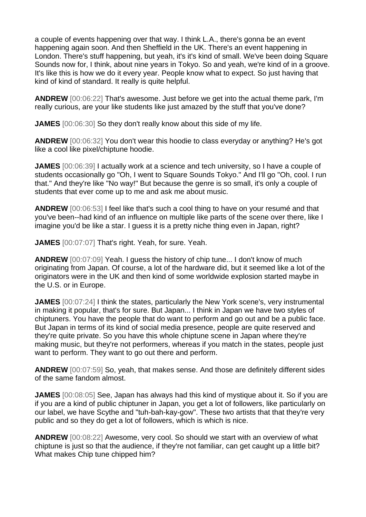a couple of events happening over that way. I think L.A., there's gonna be an event happening again soon. And then Sheffield in the UK. There's an event happening in London. There's stuff happening, but yeah, it's it's kind of small. We've been doing Square Sounds now for, I think, about nine years in Tokyo. So and yeah, we're kind of in a groove. It's like this is how we do it every year. People know what to expect. So just having that kind of kind of standard. It really is quite helpful.

**ANDREW** [00:06:22] That's awesome. Just before we get into the actual theme park, I'm really curious, are your like students like just amazed by the stuff that you've done?

**JAMES** [00:06:30] So they don't really know about this side of my life.

**ANDREW** [00:06:32] You don't wear this hoodie to class everyday or anything? He's got like a cool like pixel/chiptune hoodie.

**JAMES** [00:06:39] I actually work at a science and tech university, so I have a couple of students occasionally go "Oh, I went to Square Sounds Tokyo." And I'll go "Oh, cool. I run that." And they're like "No way!" But because the genre is so small, it's only a couple of students that ever come up to me and ask me about music.

**ANDREW** [00:06:53] I feel like that's such a cool thing to have on your resumé and that you've been--had kind of an influence on multiple like parts of the scene over there, like I imagine you'd be like a star. I guess it is a pretty niche thing even in Japan, right?

**JAMES** [00:07:07] That's right. Yeah, for sure. Yeah.

**ANDREW** [00:07:09] Yeah. I guess the history of chip tune... I don't know of much originating from Japan. Of course, a lot of the hardware did, but it seemed like a lot of the originators were in the UK and then kind of some worldwide explosion started maybe in the U.S. or in Europe.

**JAMES** [00:07:24] I think the states, particularly the New York scene's, very instrumental in making it popular, that's for sure. But Japan... I think in Japan we have two styles of chiptuners. You have the people that do want to perform and go out and be a public face. But Japan in terms of its kind of social media presence, people are quite reserved and they're quite private. So you have this whole chiptune scene in Japan where they're making music, but they're not performers, whereas if you match in the states, people just want to perform. They want to go out there and perform.

**ANDREW** [00:07:59] So, yeah, that makes sense. And those are definitely different sides of the same fandom almost.

**JAMES** [00:08:05] See, Japan has always had this kind of mystique about it. So if you are if you are a kind of public chiptuner in Japan, you get a lot of followers, like particularly on our label, we have Scythe and "tuh-bah-kay-gow". These two artists that that they're very public and so they do get a lot of followers, which is which is nice.

**ANDREW** [00:08:22] Awesome, very cool. So should we start with an overview of what chiptune is just so that the audience, if they're not familiar, can get caught up a little bit? What makes Chip tune chipped him?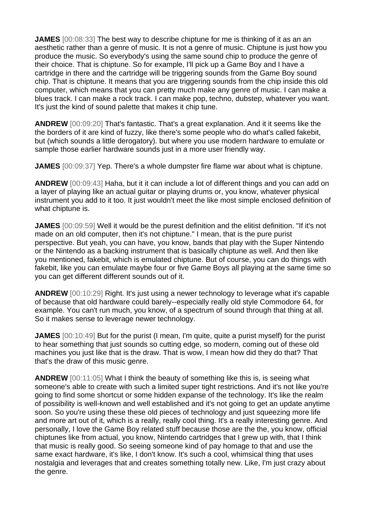**JAMES** [00:08:33] The best way to describe chiptune for me is thinking of it as an an aesthetic rather than a genre of music. It is not a genre of music. Chiptune is just how you produce the music. So everybody's using the same sound chip to produce the genre of their choice. That is chiptune. So for example, I'll pick up a Game Boy and I have a cartridge in there and the cartridge will be triggering sounds from the Game Boy sound chip. That is chiptune. It means that you are triggering sounds from the chip inside this old computer, which means that you can pretty much make any genre of music. I can make a blues track. I can make a rock track. I can make pop, techno, dubstep, whatever you want. It's just the kind of sound palette that makes it chip tune.

**ANDREW** [00:09:20] That's fantastic. That's a great explanation. And it it seems like the the borders of it are kind of fuzzy, like there's some people who do what's called fakebit, but (which sounds a little derogatory). but where you use modern hardware to emulate or sample those earlier hardware sounds just in a more user friendly way.

**JAMES** [00:09:37] Yep. There's a whole dumpster fire flame war about what is chiptune.

**ANDREW** [00:09:43] Haha, but it it can include a lot of different things and you can add on a layer of playing like an actual guitar or playing drums or, you know, whatever physical instrument you add to it too. It just wouldn't meet the like most simple enclosed definition of what chiptune is.

**JAMES** [00:09:59] Well it would be the purest definition and the elitist definition. "If it's not made on an old computer, then it's not chiptune." I mean, that is the pure purist perspective. But yeah, you can have, you know, bands that play with the Super Nintendo or the Nintendo as a backing instrument that is basically chiptune as well. And then like you mentioned, fakebit, which is emulated chiptune. But of course, you can do things with fakebit, like you can emulate maybe four or five Game Boys all playing at the same time so you can get different different sounds out of it.

**ANDREW** [00:10:29] Right. It's just using a newer technology to leverage what it's capable of because that old hardware could barely--especially really old style Commodore 64, for example. You can't run much, you know, of a spectrum of sound through that thing at all. So it makes sense to leverage newer technology.

**JAMES** [00:10:49] But for the purist (I mean, I'm quite, quite a purist myself) for the purist to hear something that just sounds so cutting edge, so modern, coming out of these old machines you just like that is the draw. That is wow, I mean how did they do that? That that's the draw of this music genre.

**ANDREW** [00:11:05] What I think the beauty of something like this is, is seeing what someone's able to create with such a limited super tight restrictions. And it's not like you're going to find some shortcut or some hidden expanse of the technology. It's like the realm of possibility is well-known and well established and it's not going to get an update anytime soon. So you're using these these old pieces of technology and just squeezing more life and more art out of it, which is a really, really cool thing. It's a really interesting genre. And personally, I love the Game Boy related stuff because those are the the, you know, official chiptunes like from actual, you know, Nintendo cartridges that I grew up with, that I think that music is really good. So seeing someone kind of pay homage to that and use the same exact hardware, it's like, I don't know. It's such a cool, whimsical thing that uses nostalgia and leverages that and creates something totally new. Like, I'm just crazy about the genre.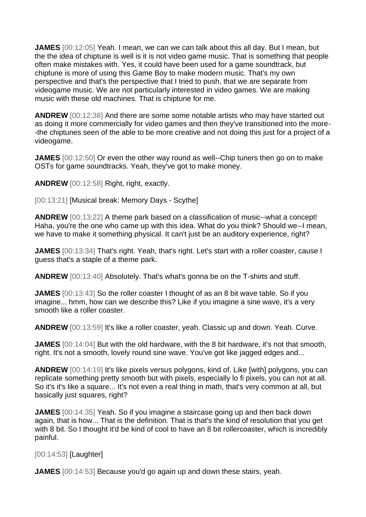**JAMES** [00:12:05] Yeah. I mean, we can we can talk about this all day. But I mean, but the the idea of chiptune is well is it is not video game music. That is something that people often make mistakes with. Yes, it could have been used for a game soundtrack, but chiptune is more of using this Game Boy to make modern music. That's my own perspective and that's the perspective that I tried to push, that we are separate from videogame music. We are not particularly interested in video games. We are making music with these old machines. That is chiptune for me.

**ANDREW** [00:12:38] And there are some some notable artists who may have started out as doing it more commercially for video games and then they've transitioned into the more- -the chiptunes seen of the able to be more creative and not doing this just for a project of a videogame.

**JAMES** [00:12:50] Or even the other way round as well--Chip tuners then go on to make OSTs for game soundtracks. Yeah, they've got to make money.

**ANDREW** [00:12:58] Right, right, exactly.

[00:13:21] [Musical break: Memory Days - Scythe]

**ANDREW** [00:13:22] A theme park based on a classification of music--what a concept! Haha, you're the one who came up with this idea. What do you think? Should we--I mean, we have to make it something physical. It can't just be an auditory experience, right?

**JAMES** [00:13:34] That's right. Yeah, that's right. Let's start with a roller coaster, cause I guess that's a staple of a theme park.

**ANDREW** [00:13:40] Absolutely. That's what's gonna be on the T-shirts and stuff.

**JAMES** [00:13:43] So the roller coaster I thought of as an 8 bit wave table. So if you imagine... hmm, how can we describe this? Like if you imagine a sine wave, it's a very smooth like a roller coaster.

**ANDREW** [00:13:59] It's like a roller coaster, yeah. Classic up and down. Yeah. Curve.

**JAMES** [00:14:04] But with the old hardware, with the 8 bit hardware, it's not that smooth, right. It's not a smooth, lovely round sine wave. You've got like jagged edges and...

**ANDREW** [00:14:19] It's like pixels versus polygons, kind of. Like [with] polygons, you can replicate something pretty smooth but with pixels, especially lo fi pixels, you can not at all. So it's it's like a square... It's not even a real thing in math, that's very common at all, but basically just squares, right?

**JAMES** [00:14:35] Yeah. So if you imagine a staircase going up and then back down again, that is how... That is the definition. That is that's the kind of resolution that you get with 8 bit. So I thought it'd be kind of cool to have an 8 bit rollercoaster, which is incredibly painful.

[00:14:53] [Laughter]

**JAMES** [00:14:53] Because you'd go again up and down these stairs, yeah.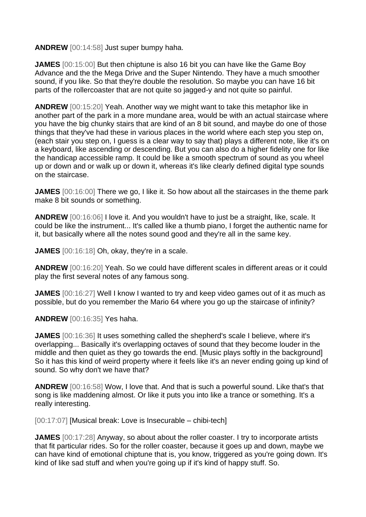**ANDREW** [00:14:58] Just super bumpy haha.

**JAMES** [00:15:00] But then chiptune is also 16 bit you can have like the Game Boy Advance and the the Mega Drive and the Super Nintendo. They have a much smoother sound, if you like. So that they're double the resolution. So maybe you can have 16 bit parts of the rollercoaster that are not quite so jagged-y and not quite so painful.

**ANDREW** [00:15:20] Yeah. Another way we might want to take this metaphor like in another part of the park in a more mundane area, would be with an actual staircase where you have the big chunky stairs that are kind of an 8 bit sound, and maybe do one of those things that they've had these in various places in the world where each step you step on, (each stair you step on, I guess is a clear way to say that) plays a different note, like it's on a keyboard, like ascending or descending. But you can also do a higher fidelity one for like the handicap accessible ramp. It could be like a smooth spectrum of sound as you wheel up or down and or walk up or down it, whereas it's like clearly defined digital type sounds on the staircase.

**JAMES** [00:16:00] There we go, I like it. So how about all the staircases in the theme park make 8 bit sounds or something.

**ANDREW** [00:16:06] I love it. And you wouldn't have to just be a straight, like, scale. It could be like the instrument... It's called like a thumb piano, I forget the authentic name for it, but basically where all the notes sound good and they're all in the same key.

**JAMES** [00:16:18] Oh, okay, they're in a scale.

**ANDREW** [00:16:20] Yeah. So we could have different scales in different areas or it could play the first several notes of any famous song.

**JAMES** [00:16:27] Well I know I wanted to try and keep video games out of it as much as possible, but do you remember the Mario 64 where you go up the staircase of infinity?

**ANDREW** [00:16:35] Yes haha.

**JAMES** [00:16:36] It uses something called the shepherd's scale I believe, where it's overlapping... Basically it's overlapping octaves of sound that they become louder in the middle and then quiet as they go towards the end. [Music plays softly in the background] So it has this kind of weird property where it feels like it's an never ending going up kind of sound. So why don't we have that?

**ANDREW** [00:16:58] Wow, I love that. And that is such a powerful sound. Like that's that song is like maddening almost. Or like it puts you into like a trance or something. It's a really interesting.

[00:17:07] [Musical break: Love is Insecurable – chibi-tech]

**JAMES** [00:17:28] Anyway, so about about the roller coaster. I try to incorporate artists that fit particular rides. So for the roller coaster, because it goes up and down, maybe we can have kind of emotional chiptune that is, you know, triggered as you're going down. It's kind of like sad stuff and when you're going up if it's kind of happy stuff. So.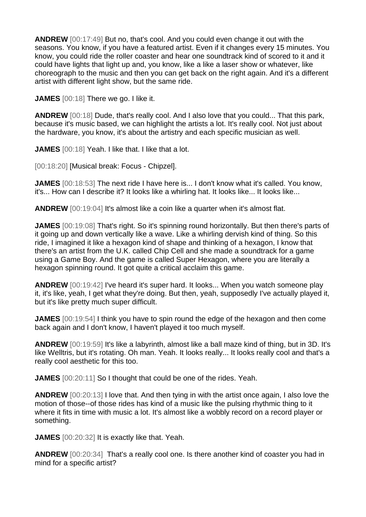**ANDREW** [00:17:49] But no, that's cool. And you could even change it out with the seasons. You know, if you have a featured artist. Even if it changes every 15 minutes. You know, you could ride the roller coaster and hear one soundtrack kind of scored to it and it could have lights that light up and, you know, like a like a laser show or whatever, like choreograph to the music and then you can get back on the right again. And it's a different artist with different light show, but the same ride.

**JAMES** [00:18] There we go. I like it.

**ANDREW** [00:18] Dude, that's really cool. And I also love that you could... That this park, because it's music based, we can highlight the artists a lot. It's really cool. Not just about the hardware, you know, it's about the artistry and each specific musician as well.

**JAMES** [00:18] Yeah. I like that. I like that a lot.

[00:18:20] [Musical break: Focus - Chipzel].

**JAMES** [00:18:53] The next ride I have here is... I don't know what it's called. You know, it's... How can I describe it? It looks like a whirling hat. It looks like... It looks like...

**ANDREW** [00:19:04] It's almost like a coin like a quarter when it's almost flat.

**JAMES** [00:19:08] That's right. So it's spinning round horizontally. But then there's parts of it going up and down vertically like a wave. Like a whirling dervish kind of thing. So this ride, I imagined it like a hexagon kind of shape and thinking of a hexagon, I know that there's an artist from the U.K. called Chip Cell and she made a soundtrack for a game using a Game Boy. And the game is called Super Hexagon, where you are literally a hexagon spinning round. It got quite a critical acclaim this game.

**ANDREW** [00:19:42] I've heard it's super hard. It looks... When you watch someone play it, it's like, yeah, I get what they're doing. But then, yeah, supposedly I've actually played it, but it's like pretty much super difficult.

**JAMES** [00:19:54] I think you have to spin round the edge of the hexagon and then come back again and I don't know, I haven't played it too much myself.

**ANDREW** [00:19:59] It's like a labyrinth, almost like a ball maze kind of thing, but in 3D. It's like Welltris, but it's rotating. Oh man. Yeah. It looks really... It looks really cool and that's a really cool aesthetic for this too.

**JAMES** [00:20:11] So I thought that could be one of the rides. Yeah.

**ANDREW** [00:20:13] I love that. And then tying in with the artist once again, I also love the motion of those--of those rides has kind of a music like the pulsing rhythmic thing to it where it fits in time with music a lot. It's almost like a wobbly record on a record player or something.

**JAMES** [00:20:32] It is exactly like that. Yeah.

**ANDREW** [00:20:34] That's a really cool one. Is there another kind of coaster you had in mind for a specific artist?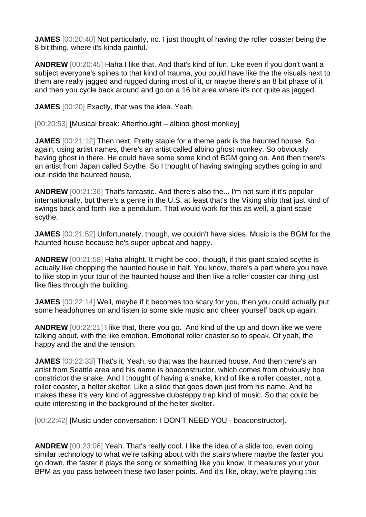**JAMES** [00:20:40] Not particularly, no. I just thought of having the roller coaster being the 8 bit thing, where it's kinda painful.

**ANDREW** [00:20:45] Haha I like that. And that's kind of fun. Like even if you don't want a subject everyone's spines to that kind of trauma, you could have like the the visuals next to them are really jagged and rugged during most of it, or maybe there's an 8 bit phase of it and then you cycle back around and go on a 16 bit area where it's not quite as jagged.

**JAMES** [00:20] Exactly, that was the idea. Yeah.

[00:20:53] [Musical break: Afterthought – albino ghost monkey]

**JAMES** [00:21:12] Then next. Pretty staple for a theme park is the haunted house. So again, using artist names, there's an artist called albino ghost monkey. So obviously having ghost in there. He could have some some kind of BGM going on. And then there's an artist from Japan called Scythe. So I thought of having swinging scythes going in and out inside the haunted house.

**ANDREW** [00:21:36] That's fantastic. And there's also the... I'm not sure if it's popular internationally, but there's a genre in the U.S. at least that's the Viking ship that just kind of swings back and forth like a pendulum. That would work for this as well, a giant scale scythe.

**JAMES** [00:21:52] Unfortunately, though, we couldn't have sides. Music is the BGM for the haunted house because he's super upbeat and happy.

**ANDREW** [00:21:58] Haha alright. It might be cool, though, if this giant scaled scythe is actually like chopping the haunted house in half. You know, there's a part where you have to like stop in your tour of the haunted house and then like a roller coaster car thing just like flies through the building.

**JAMES** [00:22:14] Well, maybe if it becomes too scary for you, then you could actually put some headphones on and listen to some side music and cheer yourself back up again.

**ANDREW** [00:22:21] I like that, there you go. And kind of the up and down like we were talking about, with the like emotion. Emotional roller coaster so to speak. Of yeah, the happy and the and the tension.

**JAMES** [00:22:33] That's it. Yeah, so that was the haunted house. And then there's an artist from Seattle area and his name is boaconstructor, which comes from obviously boa constrictor the snake. And I thought of having a snake, kind of like a roller coaster, not a roller coaster, a helter skelter. Like a slide that goes down just from his name. And he makes these it's very kind of aggressive dubsteppy trap kind of music. So that could be quite interesting in the background of the helter skelter.

[00:22:42] [Music under conversation: I DON'T NEED YOU - boaconstructor].

**ANDREW** [00:23:06] Yeah. That's really cool. I like the idea of a slide too, even doing similar technology to what we're talking about with the stairs where maybe the faster you go down, the faster it plays the song or something like you know. It measures your your BPM as you pass between these two laser points. And it's like, okay, we're playing this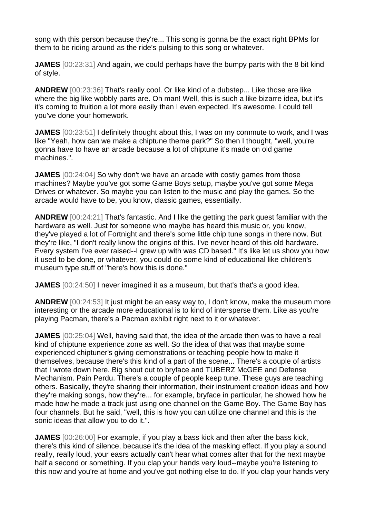song with this person because they're... This song is gonna be the exact right BPMs for them to be riding around as the ride's pulsing to this song or whatever.

**JAMES** [00:23:31] And again, we could perhaps have the bumpy parts with the 8 bit kind of style.

**ANDREW** [00:23:36] That's really cool. Or like kind of a dubstep... Like those are like where the big like wobbly parts are. Oh man! Well, this is such a like bizarre idea, but it's it's coming to fruition a lot more easily than I even expected. It's awesome. I could tell you've done your homework.

**JAMES** [00:23:51] I definitely thought about this, I was on my commute to work, and I was like "Yeah, how can we make a chiptune theme park?" So then I thought, "well, you're gonna have to have an arcade because a lot of chiptune it's made on old game machines.".

**JAMES** [00:24:04] So why don't we have an arcade with costly games from those machines? Maybe you've got some Game Boys setup, maybe you've got some Mega Drives or whatever. So maybe you can listen to the music and play the games. So the arcade would have to be, you know, classic games, essentially.

**ANDREW** [00:24:21] That's fantastic. And I like the getting the park guest familiar with the hardware as well. Just for someone who maybe has heard this music or, you know, they've played a lot of Fortnight and there's some little chip tune songs in there now. But they're like, "I don't really know the origins of this. I've never heard of this old hardware. Every system I've ever raised--I grew up with was CD based." It's like let us show you how it used to be done, or whatever, you could do some kind of educational like children's museum type stuff of "here's how this is done."

**JAMES** [00:24:50] I never imagined it as a museum, but that's that's a good idea.

**ANDREW** [00:24:53] It just might be an easy way to, I don't know, make the museum more interesting or the arcade more educational is to kind of intersperse them. Like as you're playing Pacman, there's a Pacman exhibit right next to it or whatever.

**JAMES** [00:25:04] Well, having said that, the idea of the arcade then was to have a real kind of chiptune experience zone as well. So the idea of that was that maybe some experienced chiptuner's giving demonstrations or teaching people how to make it themselves, because there's this kind of a part of the scene... There's a couple of artists that I wrote down here. Big shout out to bryface and TUBERZ McGEE and Defense Mechanism. Pain Perdu. There's a couple of people keep tune. These guys are teaching others. Basically, they're sharing their information, their instrument creation ideas and how they're making songs, how they're... for example, bryface in particular, he showed how he made how he made a track just using one channel on the Game Boy. The Game Boy has four channels. But he said, "well, this is how you can utilize one channel and this is the sonic ideas that allow you to do it.".

**JAMES** [00:26:00] For example, if you play a bass kick and then after the bass kick, there's this kind of silence, because it's the idea of the masking effect. If you play a sound really, really loud, your easrs actually can't hear what comes after that for the next maybe half a second or something. If you clap your hands very loud--maybe you're listening to this now and you're at home and you've got nothing else to do. If you clap your hands very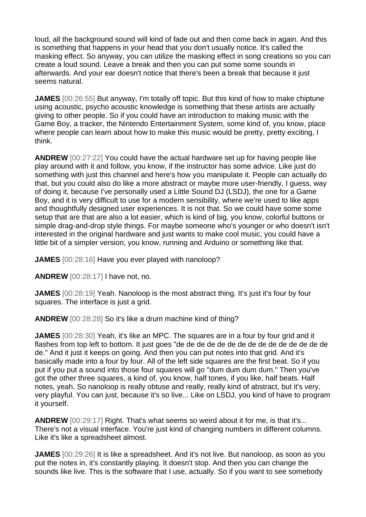loud, all the background sound will kind of fade out and then come back in again. And this is something that happens in your head that you don't usually notice. It's called the masking effect. So anyway, you can utilize the masking effect in song creations so you can create a loud sound. Leave a break and then you can put some some sounds in afterwards. And your ear doesn't notice that there's been a break that because it just seems natural.

**JAMES** [00:26:55] But anyway, I'm totally off topic. But this kind of how to make chiptune using acoustic, psycho acoustic knowledge is something that these artists are actually giving to other people. So if you could have an introduction to making music with the Game Boy, a tracker, the Nintendo Entertainment System, some kind of, you know, place where people can learn about how to make this music would be pretty, pretty exciting, I think.

**ANDREW** [00:27:22] You could have the actual hardware set up for having people like play around with it and follow, you know, if the instructor has some advice. Like just do something with just this channel and here's how you manipulate it. People can actually do that, but you could also do like a more abstract or maybe more user-friendly, I guess, way of doing it, because I've personally used a Little Sound DJ (LSDJ), the one for a Game Boy, and it is very difficult to use for a modern sensibility, where we're used to like apps and thoughtfully designed user experiences. It is not that. So we could have some some setup that are that are also a lot easier, which is kind of big, you know, colorful buttons or simple drag-and-drop style things. For maybe someone who's younger or who doesn't isn't interested in the original hardware and just wants to make cool music, you could have a little bit of a simpler version, you know, running and Arduino or something like that.

**JAMES** [00:28:16] Have you ever played with nanoloop?

**ANDREW** [00:28:17] I have not, no.

**JAMES** [00:28:19] Yeah. Nanoloop is the most abstract thing. It's just it's four by four squares. The interface is just a grid.

**ANDREW** [00:28:28] So it's like a drum machine kind of thing?

**JAMES** [00:28:30] Yeah, it's like an MPC. The squares are in a four by four grid and it flashes from top left to bottom. It just goes "de de de de de de de de de de de de de de de de." And it just it keeps on going. And then you can put notes into that grid. And it's basically made into a four by four. All of the left side squares are the first beat. So if you put if you put a sound into those four squares will go "dum dum dum dum." Then you've got the other three squares, a kind of, you know, half tones, if you like, half beats. Half notes, yeah. So nanoloop is really obtuse and really, really kind of abstract, but it's very, very playful. You can just, because it's so live... Like on LSDJ, you kind of have to program it yourself.

**ANDREW** [00:29:17] Right. That's what seems so weird about it for me, is that it's... There's not a visual interface. You're just kind of changing numbers in different columns. Like it's like a spreadsheet almost.

**JAMES** [00:29:26] It is like a spreadsheet. And it's not live. But nanoloop, as soon as you put the notes in, it's constantly playing. It doesn't stop. And then you can change the sounds like live. This is the software that I use, actually. So if you want to see somebody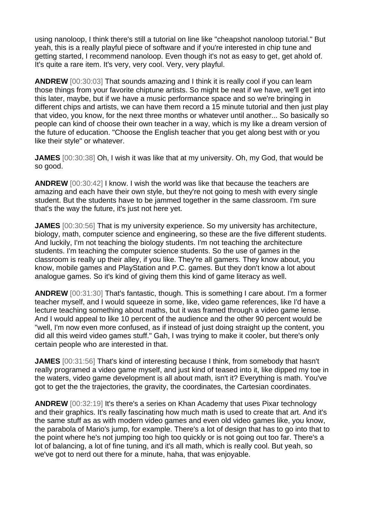using nanoloop, I think there's still a tutorial on line like "cheapshot nanoloop tutorial." But yeah, this is a really playful piece of software and if you're interested in chip tune and getting started, I recommend nanoloop. Even though it's not as easy to get, get ahold of. It's quite a rare item. It's very, very cool. Very, very playful.

**ANDREW** [00:30:03] That sounds amazing and I think it is really cool if you can learn those things from your favorite chiptune artists. So might be neat if we have, we'll get into this later, maybe, but if we have a music performance space and so we're bringing in different chips and artists, we can have them record a 15 minute tutorial and then just play that video, you know, for the next three months or whatever until another... So basically so people can kind of choose their own teacher in a way, which is my like a dream version of the future of education. "Choose the English teacher that you get along best with or you like their style" or whatever.

**JAMES** [00:30:38] Oh, I wish it was like that at my university. Oh, my God, that would be so good.

**ANDREW** [00:30:42] I know. I wish the world was like that because the teachers are amazing and each have their own style, but they're not going to mesh with every single student. But the students have to be jammed together in the same classroom. I'm sure that's the way the future, it's just not here yet.

**JAMES** [00:30:56] That is my university experience. So my university has architecture, biology, math, computer science and engineering, so these are the five different students. And luckily, I'm not teaching the biology students. I'm not teaching the architecture students. I'm teaching the computer science students. So the use of games in the classroom is really up their alley, if you like. They're all gamers. They know about, you know, mobile games and PlayStation and P.C. games. But they don't know a lot about analogue games. So it's kind of giving them this kind of game literacy as well.

**ANDREW** [00:31:30] That's fantastic, though. This is something I care about. I'm a former teacher myself, and I would squeeze in some, like, video game references, like I'd have a lecture teaching something about maths, but it was framed through a video game lense. And I would appeal to like 10 percent of the audience and the other 90 percent would be "well, I'm now even more confused, as if instead of just doing straight up the content, you did all this weird video games stuff." Gah, I was trying to make it cooler, but there's only certain people who are interested in that.

**JAMES** [00:31:56] That's kind of interesting because I think, from somebody that hasn't really programed a video game myself, and just kind of teased into it, like dipped my toe in the waters, video game development is all about math, isn't it? Everything is math. You've got to get the the trajectories, the gravity, the coordinates, the Cartesian coordinates.

**ANDREW** [00:32:19] It's there's a series on Khan Academy that uses Pixar technology and their graphics. It's really fascinating how much math is used to create that art. And it's the same stuff as as with modern video games and even old video games like, you know, the parabola of Mario's jump, for example. There's a lot of design that has to go into that to the point where he's not jumping too high too quickly or is not going out too far. There's a lot of balancing, a lot of fine tuning, and it's all math, which is really cool. But yeah, so we've got to nerd out there for a minute, haha, that was enjoyable.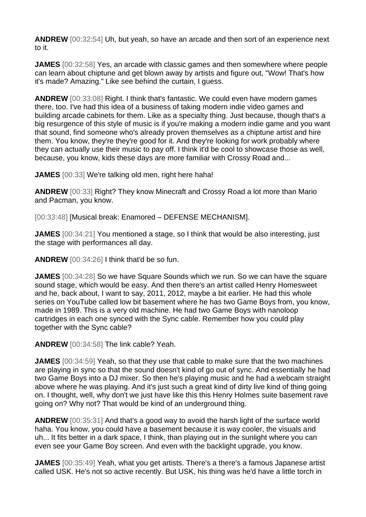**ANDREW** [00:32:54] Uh, but yeah, so have an arcade and then sort of an experience next to it.

**JAMES** [00:32:58] Yes, an arcade with classic games and then somewhere where people can learn about chiptune and get blown away by artists and figure out, "Wow! That's how it's made? Amazing." Like see behind the curtain, I guess.

**ANDREW** [00:33:08] Right. I think that's fantastic. We could even have modern games there, too. I've had this idea of a business of taking modern indie video games and building arcade cabinets for them. Like as a specialty thing. Just because, though that's a big resurgence of this style of music is if you're making a modern indie game and you want that sound, find someone who's already proven themselves as a chiptune artist and hire them. You know, they're they're good for it. And they're looking for work probably where they can actually use their music to pay off. I think it'd be cool to showcase those as well, because, you know, kids these days are more familiar with Crossy Road and...

**JAMES** [00:33] We're talking old men, right here haha!

**ANDREW** [00:33] Right? They know Minecraft and Crossy Road a lot more than Mario and Pacman, you know.

[00:33:48] [Musical break: Enamored – DEFENSE MECHANISM].

**JAMES** [00:34:21] You mentioned a stage, so I think that would be also interesting, just the stage with performances all day.

**ANDREW** [00:34:26] I think that'd be so fun.

**JAMES** [00:34:28] So we have Square Sounds which we run. So we can have the square sound stage, which would be easy. And then there's an artist called Henry Homesweet and he, back about, I want to say, 2011, 2012, maybe a bit earlier. He had this whole series on YouTube called low bit basement where he has two Game Boys from, you know, made in 1989. This is a very old machine. He had two Game Boys with nanoloop cartridges in each one synced with the Sync cable. Remember how you could play together with the Sync cable?

**ANDREW** [00:34:58] The link cable? Yeah.

**JAMES** [00:34:59] Yeah, so that they use that cable to make sure that the two machines are playing in sync so that the sound doesn't kind of go out of sync. And essentially he had two Game Boys into a DJ mixer. So then he's playing music and he had a webcam straight above where he was playing. And it's just such a great kind of dirty live kind of thing going on. I thought, well, why don't we just have like this this Henry Holmes suite basement rave going on? Why not? That would be kind of an underground thing.

**ANDREW** [00:35:31] And that's a good way to avoid the harsh light of the surface world haha. You know, you could have a basement because it is way cooler, the visuals and uh... It fits better in a dark space, I think, than playing out in the sunlight where you can even see your Game Boy screen. And even with the backlight upgrade, you know.

**JAMES** [00:35:49] Yeah, what you get artists. There's a there's a famous Japanese artist called USK. He's not so active recently. But USK, his thing was he'd have a little torch in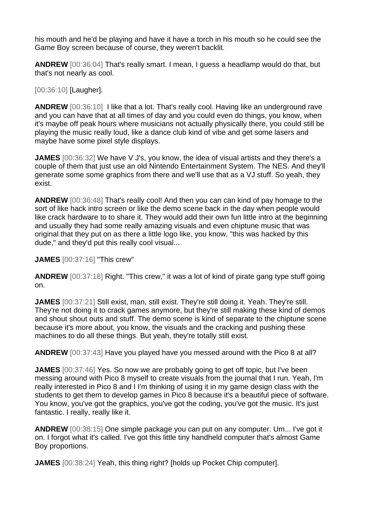his mouth and he'd be playing and have it have a torch in his mouth so he could see the Game Boy screen because of course, they weren't backlit.

**ANDREW** [00:36:04] That's really smart. I mean, I guess a headlamp would do that, but that's not nearly as cool.

## [00:36:10] [Laugher].

**ANDREW** [00:36:10] I like that a lot. That's really cool. Having like an underground rave and you can have that at all times of day and you could even do things, you know, when it's maybe off peak hours where musicians not actually physically there, you could still be playing the music really loud, like a dance club kind of vibe and get some lasers and maybe have some pixel style displays.

**JAMES** [00:36:32] We have V J's, you know, the idea of visual artists and they there's a couple of them that just use an old Nintendo Entertainment System. The NES. And they'll generate some some graphics from there and we'll use that as a VJ stuff. So yeah, they exist.

**ANDREW** [00:36:48] That's really cool! And then you can can kind of pay homage to the sort of like hack intro screen or like the demo scene back in the day when people would like crack hardware to to share it. They would add their own fun little intro at the beginning and usually they had some really amazing visuals and even chiptune music that was original that they put on as there a little logo like, you know, "this was hacked by this dude," and they'd put this really cool visual...

**JAMES** [00:37:16] "This crew"

**ANDREW** [00:37:18] Right. "This crew," it was a lot of kind of pirate gang type stuff going on.

**JAMES** [00:37:21] Still exist, man, still exist. They're still doing it. Yeah. They're still. They're not doing it to crack games anymore, but they're still making these kind of demos and shout shout outs and stuff. The demo scene is kind of separate to the chiptune scene because it's more about, you know, the visuals and the cracking and pushing these machines to do all these things. But yeah, they're totally still exist.

**ANDREW** [00:37:43] Have you played have you messed around with the Pico 8 at all?

**JAMES** [00:37:46] Yes. So now we are probably going to get off topic, but I've been messing around with Pico 8 myself to create visuals from the journal that I run. Yeah, I'm really interested in Pico 8 and I I'm thinking of using it in my game design class with the students to get them to develop games in Pico 8 because it's a beautiful piece of software. You know, you've got the graphics, you've got the coding, you've got the music. It's just fantastic. I really, really like it.

**ANDREW** [00:38:15] One simple package you can put on any computer. Um... I've got it on. I forgot what it's called. I've got this little tiny handheld computer that's almost Game Boy proportions.

**JAMES** [00:38:24] Yeah, this thing right? [holds up Pocket Chip computer].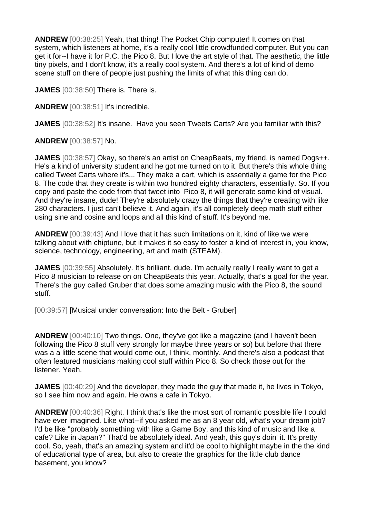**ANDREW** [00:38:25] Yeah, that thing! The Pocket Chip computer! It comes on that system, which listeners at home, it's a really cool little crowdfunded computer. But you can get it for--I have it for P.C. the Pico 8. But I love the art style of that. The aesthetic, the little tiny pixels, and I don't know, it's a really cool system. And there's a lot of kind of demo scene stuff on there of people just pushing the limits of what this thing can do.

**JAMES** [00:38:50] There is. There is.

**ANDREW** [00:38:51] It's incredible.

**JAMES** [00:38:52] It's insane. Have you seen Tweets Carts? Are you familiar with this?

**ANDREW** [00:38:57] No.

**JAMES** [00:38:57] Okay, so there's an artist on CheapBeats, my friend, is named Dogs++. He's a kind of university student and he got me turned on to it. But there's this whole thing called Tweet Carts where it's... They make a cart, which is essentially a game for the Pico 8. The code that they create is within two hundred eighty characters, essentially. So. If you copy and paste the code from that tweet into Pico 8, it will generate some kind of visual. And they're insane, dude! They're absolutely crazy the things that they're creating with like 280 characters. I just can't believe it. And again, it's all completely deep math stuff either using sine and cosine and loops and all this kind of stuff. It's beyond me.

**ANDREW** [00:39:43] And I love that it has such limitations on it, kind of like we were talking about with chiptune, but it makes it so easy to foster a kind of interest in, you know, science, technology, engineering, art and math (STEAM).

**JAMES** [00:39:55] Absolutely. It's brilliant, dude. I'm actually really I really want to get a Pico 8 musician to release on on CheapBeats this year. Actually, that's a goal for the year. There's the guy called Gruber that does some amazing music with the Pico 8, the sound stuff.

[00:39:57] [Musical under conversation: Into the Belt - Gruber]

**ANDREW** [00:40:10] Two things. One, they've got like a magazine (and I haven't been following the Pico 8 stuff very strongly for maybe three years or so) but before that there was a a little scene that would come out, I think, monthly. And there's also a podcast that often featured musicians making cool stuff within Pico 8. So check those out for the listener. Yeah.

**JAMES** [00:40:29] And the developer, they made the guy that made it, he lives in Tokyo, so I see him now and again. He owns a cafe in Tokyo.

**ANDREW** [00:40:36] Right. I think that's like the most sort of romantic possible life I could have ever imagined. Like what--if you asked me as an 8 year old, what's your dream job? I'd be like "probably something with like a Game Boy, and this kind of music and like a cafe? Like in Japan?" That'd be absolutely ideal. And yeah, this guy's doin' it. It's pretty cool. So, yeah, that's an amazing system and it'd be cool to highlight maybe in the the kind of educational type of area, but also to create the graphics for the little club dance basement, you know?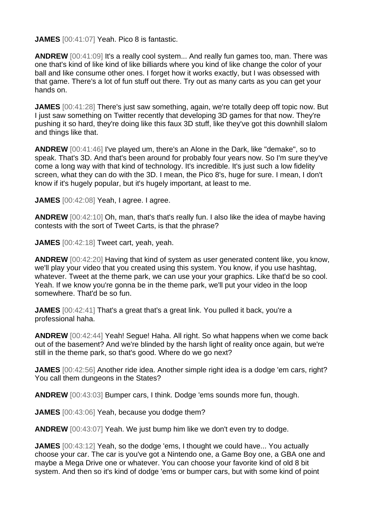**JAMES** [00:41:07] Yeah. Pico 8 is fantastic.

**ANDREW** [00:41:09] It's a really cool system... And really fun games too, man. There was one that's kind of like kind of like billiards where you kind of like change the color of your ball and like consume other ones. I forget how it works exactly, but I was obsessed with that game. There's a lot of fun stuff out there. Try out as many carts as you can get your hands on.

**JAMES** [00:41:28] There's just saw something, again, we're totally deep off topic now. But I just saw something on Twitter recently that developing 3D games for that now. They're pushing it so hard, they're doing like this faux 3D stuff, like they've got this downhill slalom and things like that.

**ANDREW** [00:41:46] I've played um, there's an Alone in the Dark, like "demake", so to speak. That's 3D. And that's been around for probably four years now. So I'm sure they've come a long way with that kind of technology. It's incredible. It's just such a low fidelity screen, what they can do with the 3D. I mean, the Pico 8's, huge for sure. I mean, I don't know if it's hugely popular, but it's hugely important, at least to me.

**JAMES** [00:42:08] Yeah, I agree. I agree.

**ANDREW** [00:42:10] Oh, man, that's that's really fun. I also like the idea of maybe having contests with the sort of Tweet Carts, is that the phrase?

**JAMES** [00:42:18] Tweet cart, yeah, yeah.

**ANDREW** [00:42:20] Having that kind of system as user generated content like, you know, we'll play your video that you created using this system. You know, if you use hashtag, whatever. Tweet at the theme park, we can use your your graphics. Like that'd be so cool. Yeah. If we know you're gonna be in the theme park, we'll put your video in the loop somewhere. That'd be so fun.

**JAMES** [00:42:41] That's a great that's a great link. You pulled it back, you're a professional haha.

**ANDREW** [00:42:44] Yeah! Segue! Haha. All right. So what happens when we come back out of the basement? And we're blinded by the harsh light of reality once again, but we're still in the theme park, so that's good. Where do we go next?

**JAMES** [00:42:56] Another ride idea. Another simple right idea is a dodge 'em cars, right? You call them dungeons in the States?

**ANDREW** [00:43:03] Bumper cars, I think. Dodge 'ems sounds more fun, though.

**JAMES** [00:43:06] Yeah, because you dodge them?

**ANDREW** [00:43:07] Yeah. We just bump him like we don't even try to dodge.

**JAMES** [00:43:12] Yeah, so the dodge 'ems, I thought we could have... You actually choose your car. The car is you've got a Nintendo one, a Game Boy one, a GBA one and maybe a Mega Drive one or whatever. You can choose your favorite kind of old 8 bit system. And then so it's kind of dodge 'ems or bumper cars, but with some kind of point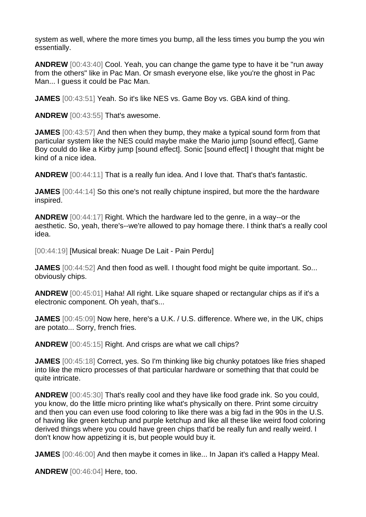system as well, where the more times you bump, all the less times you bump the you win essentially.

**ANDREW** [00:43:40] Cool. Yeah, you can change the game type to have it be "run away from the others" like in Pac Man. Or smash everyone else, like you're the ghost in Pac Man... I guess it could be Pac Man.

**JAMES** [00:43:51] Yeah. So it's like NES vs. Game Boy vs. GBA kind of thing.

**ANDREW** [00:43:55] That's awesome.

**JAMES** [00:43:57] And then when they bump, they make a typical sound form from that particular system like the NES could maybe make the Mario jump [sound effect], Game Boy could do like a Kirby jump [sound effect]. Sonic [sound effect] I thought that might be kind of a nice idea.

**ANDREW** [00:44:11] That is a really fun idea. And I love that. That's that's fantastic.

**JAMES** [00:44:14] So this one's not really chiptune inspired, but more the the hardware inspired.

**ANDREW** [00:44:17] Right. Which the hardware led to the genre, in a way--or the aesthetic. So, yeah, there's--we're allowed to pay homage there. I think that's a really cool idea.

[00:44:19] [Musical break: Nuage De Lait - Pain Perdu]

**JAMES** [00:44:52] And then food as well. I thought food might be quite important. So... obviously chips.

**ANDREW** [00:45:01] Haha! All right. Like square shaped or rectangular chips as if it's a electronic component. Oh yeah, that's...

**JAMES** [00:45:09] Now here, here's a U.K. / U.S. difference. Where we, in the UK, chips are potato... Sorry, french fries.

**ANDREW** [00:45:15] Right. And crisps are what we call chips?

**JAMES** [00:45:18] Correct, yes. So I'm thinking like big chunky potatoes like fries shaped into like the micro processes of that particular hardware or something that that could be quite intricate.

**ANDREW** [00:45:30] That's really cool and they have like food grade ink. So you could, you know, do the little micro printing like what's physically on there. Print some circuitry and then you can even use food coloring to like there was a big fad in the 90s in the U.S. of having like green ketchup and purple ketchup and like all these like weird food coloring derived things where you could have green chips that'd be really fun and really weird. I don't know how appetizing it is, but people would buy it.

**JAMES** [00:46:00] And then maybe it comes in like... In Japan it's called a Happy Meal.

**ANDREW** [00:46:04] Here, too.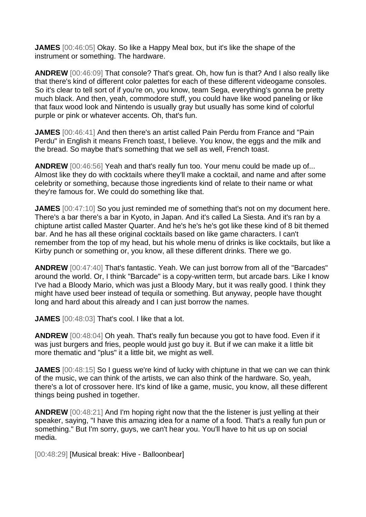**JAMES** [00:46:05] Okay. So like a Happy Meal box, but it's like the shape of the instrument or something. The hardware.

**ANDREW** [00:46:09] That console? That's great. Oh, how fun is that? And I also really like that there's kind of different color palettes for each of these different videogame consoles. So it's clear to tell sort of if you're on, you know, team Sega, everything's gonna be pretty much black. And then, yeah, commodore stuff, you could have like wood paneling or like that faux wood look and Nintendo is usually gray but usually has some kind of colorful purple or pink or whatever accents. Oh, that's fun.

**JAMES** [00:46:41] And then there's an artist called Pain Perdu from France and "Pain Perdu" in English it means French toast, I believe. You know, the eggs and the milk and the bread. So maybe that's something that we sell as well, French toast.

**ANDREW** [00:46:56] Yeah and that's really fun too. Your menu could be made up of... Almost like they do with cocktails where they'll make a cocktail, and name and after some celebrity or something, because those ingredients kind of relate to their name or what they're famous for. We could do something like that.

**JAMES** [00:47:10] So you just reminded me of something that's not on my document here. There's a bar there's a bar in Kyoto, in Japan. And it's called La Siesta. And it's ran by a chiptune artist called Master Quarter. And he's he's he's got like these kind of 8 bit themed bar. And he has all these original cocktails based on like game characters. I can't remember from the top of my head, but his whole menu of drinks is like cocktails, but like a Kirby punch or something or, you know, all these different drinks. There we go.

**ANDREW** [00:47:40] That's fantastic. Yeah. We can just borrow from all of the "Barcades" around the world. Or, I think "Barcade" is a copy-written term, but arcade bars. Like I know I've had a Bloody Mario, which was just a Bloody Mary, but it was really good. I think they might have used beer instead of tequila or something. But anyway, people have thought long and hard about this already and I can just borrow the names.

**JAMES** [00:48:03] That's cool. I like that a lot.

**ANDREW** [00:48:04] Oh yeah. That's really fun because you got to have food. Even if it was just burgers and fries, people would just go buy it. But if we can make it a little bit more thematic and "plus" it a little bit, we might as well.

**JAMES** [00:48:15] So I guess we're kind of lucky with chiptune in that we can we can think of the music, we can think of the artists, we can also think of the hardware. So, yeah, there's a lot of crossover here. It's kind of like a game, music, you know, all these different things being pushed in together.

**ANDREW** [00:48:21] And I'm hoping right now that the the listener is just yelling at their speaker, saying, "I have this amazing idea for a name of a food. That's a really fun pun or something." But I'm sorry, guys, we can't hear you. You'll have to hit us up on social media.

[00:48:29] [Musical break: Hive - Balloonbear]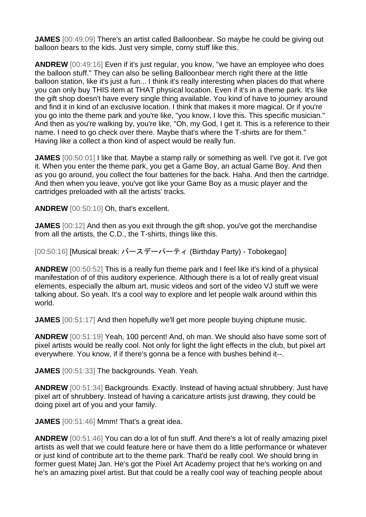**JAMES** [00:49:09] There's an artist called Balloonbear. So maybe he could be giving out balloon bears to the kids. Just very simple, corny stuff like this.

**ANDREW** [00:49:16] Even if it's just regular, you know, "we have an employee who does the balloon stuff." They can also be selling Balloonbear merch right there at the little balloon station, like it's just a fun... I think it's really interesting when places do that where you can only buy THIS item at THAT physical location. Even if it's in a theme park. It's like the gift shop doesn't have every single thing available. You kind of have to journey around and find it in kind of an exclusive location. I think that makes it more magical. Or if you're you go into the theme park and you're like, "you know, I love this. This specific musician." And then as you're walking by, you're like, "Oh, my God, I get it. This is a reference to their name. I need to go check over there. Maybe that's where the T-shirts are for them." Having like a collect a thon kind of aspect would be really fun.

**JAMES** [00:50:01] I like that. Maybe a stamp rally or something as well. I've got it. I've got it. When you enter the theme park, you get a Game Boy, an actual Game Boy. And then as you go around, you collect the four batteries for the back. Haha. And then the cartridge. And then when you leave, you've got like your Game Boy as a music player and the cartridges preloaded with all the artists' tracks.

**ANDREW** [00:50:10] Oh, that's excellent.

**JAMES** [00:12] And then as you exit through the gift shop, you've got the merchandise from all the artists, the C.D., the T-shirts, things like this.

[00:50:16] [Musical break: バースデーパーティ (Birthday Party) - Tobokegaol

**ANDREW** [00:50:52] This is a really fun theme park and I feel like it's kind of a physical manifestation of of this auditory experience. Although there is a lot of really great visual elements, especially the album art, music videos and sort of the video VJ stuff we were talking about. So yeah. It's a cool way to explore and let people walk around within this world.

**JAMES** [00:51:17] And then hopefully we'll get more people buying chiptune music.

**ANDREW** [00:51:19] Yeah, 100 percent! And, oh man. We should also have some sort of pixel artists would be really cool. Not only for light the light effects in the club, but pixel art everywhere. You know, if if there's gonna be a fence with bushes behind it--.

**JAMES** [00:51:33] The backgrounds. Yeah. Yeah.

**ANDREW** [00:51:34] Backgrounds. Exactly. Instead of having actual shrubbery. Just have pixel art of shrubbery. Instead of having a caricature artists just drawing, they could be doing pixel art of you and your family.

**JAMES** [00:51:46] Mmm! That's a great idea.

**ANDREW** [00:51:46] You can do a lot of fun stuff. And there's a lot of really amazing pixel artists as well that we could feature here or have them do a little performance or whatever or just kind of contribute art to the theme park. That'd be really cool. We should bring in former guest Matej Jan. He's got the Pixel Art Academy project that he's working on and he's an amazing pixel artist. But that could be a really cool way of teaching people about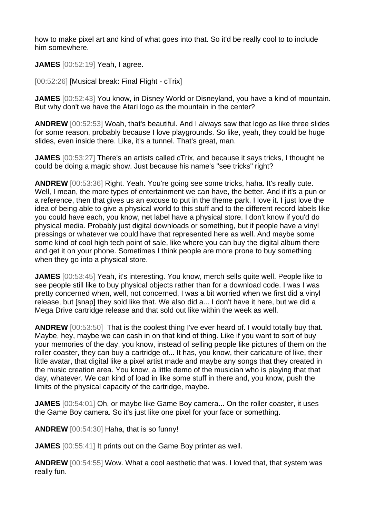how to make pixel art and kind of what goes into that. So it'd be really cool to to include him somewhere.

**JAMES** [00:52:19] Yeah, I agree.

[00:52:26] [Musical break: Final Flight - cTrix]

**JAMES** [00:52:43] You know, in Disney World or Disneyland, you have a kind of mountain. But why don't we have the Atari logo as the mountain in the center?

**ANDREW** [00:52:53] Woah, that's beautiful. And I always saw that logo as like three slides for some reason, probably because I love playgrounds. So like, yeah, they could be huge slides, even inside there. Like, it's a tunnel. That's great, man.

**JAMES** [00:53:27] There's an artists called cTrix, and because it says tricks, I thought he could be doing a magic show. Just because his name's "see tricks" right?

**ANDREW** [00:53:36] Right. Yeah. You're going see some tricks, haha. It's really cute. Well, I mean, the more types of entertainment we can have, the better. And if it's a pun or a reference, then that gives us an excuse to put in the theme park. I love it. I just love the idea of being able to give a physical world to this stuff and to the different record labels like you could have each, you know, net label have a physical store. I don't know if you'd do physical media. Probably just digital downloads or something, but if people have a vinyl pressings or whatever we could have that represented here as well. And maybe some some kind of cool high tech point of sale, like where you can buy the digital album there and get it on your phone. Sometimes I think people are more prone to buy something when they go into a physical store.

**JAMES** [00:53:45] Yeah, it's interesting. You know, merch sells quite well. People like to see people still like to buy physical objects rather than for a download code. I was I was pretty concerned when, well, not concerned, I was a bit worried when we first did a vinyl release, but [snap] they sold like that. We also did a... I don't have it here, but we did a Mega Drive cartridge release and that sold out like within the week as well.

**ANDREW** [00:53:50] That is the coolest thing I've ever heard of. I would totally buy that. Maybe, hey, maybe we can cash in on that kind of thing. Like if you want to sort of buy your memories of the day, you know, instead of selling people like pictures of them on the roller coaster, they can buy a cartridge of... It has, you know, their caricature of like, their little avatar, that digital like a pixel artist made and maybe any songs that they created in the music creation area. You know, a little demo of the musician who is playing that that day, whatever. We can kind of load in like some stuff in there and, you know, push the limits of the physical capacity of the cartridge, maybe.

**JAMES** [00:54:01] Oh, or maybe like Game Boy camera... On the roller coaster, it uses the Game Boy camera. So it's just like one pixel for your face or something.

**ANDREW** [00:54:30] Haha, that is so funny!

**JAMES** [00:55:41] It prints out on the Game Boy printer as well.

**ANDREW** [00:54:55] Wow. What a cool aesthetic that was. I loved that, that system was really fun.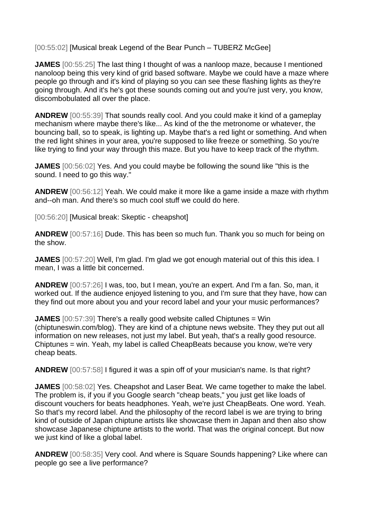[00:55:02] [Musical break Legend of the Bear Punch – TUBERZ McGee]

**JAMES** [00:55:25] The last thing I thought of was a nanloop maze, because I mentioned nanoloop being this very kind of grid based software. Maybe we could have a maze where people go through and it's kind of playing so you can see these flashing lights as they're going through. And it's he's got these sounds coming out and you're just very, you know, discombobulated all over the place.

**ANDREW** [00:55:39] That sounds really cool. And you could make it kind of a gameplay mechanism where maybe there's like... As kind of the the metronome or whatever, the bouncing ball, so to speak, is lighting up. Maybe that's a red light or something. And when the red light shines in your area, you're supposed to like freeze or something. So you're like trying to find your way through this maze. But you have to keep track of the rhythm.

**JAMES** [00:56:02] Yes. And you could maybe be following the sound like "this is the sound. I need to go this way."

**ANDREW** [00:56:12] Yeah. We could make it more like a game inside a maze with rhythm and--oh man. And there's so much cool stuff we could do here.

[00:56:20] [Musical break: Skeptic - cheapshot]

**ANDREW** [00:57:16] Dude. This has been so much fun. Thank you so much for being on the show.

**JAMES** [00:57:20] Well, I'm glad. I'm glad we got enough material out of this this idea. I mean, I was a little bit concerned.

**ANDREW** [00:57:26] I was, too, but I mean, you're an expert. And I'm a fan. So, man, it worked out. If the audience enjoyed listening to you, and I'm sure that they have, how can they find out more about you and your record label and your your music performances?

**JAMES** [00:57:39] There's a really good website called Chiptunes = Win (chiptuneswin.com/blog). They are kind of a chiptune news website. They they put out all information on new releases, not just my label. But yeah, that's a really good resource. Chiptunes = win. Yeah, my label is called CheapBeats because you know, we're very cheap beats.

**ANDREW** [00:57:58] I figured it was a spin off of your musician's name. Is that right?

**JAMES**  $[00:58:02]$  Yes. Cheapshot and Laser Beat. We came together to make the label. The problem is, if you if you Google search "cheap beats," you just get like loads of discount vouchers for beats headphones. Yeah, we're just CheapBeats. One word. Yeah. So that's my record label. And the philosophy of the record label is we are trying to bring kind of outside of Japan chiptune artists like showcase them in Japan and then also show showcase Japanese chiptune artists to the world. That was the original concept. But now we just kind of like a global label.

**ANDREW** [00:58:35] Very cool. And where is Square Sounds happening? Like where can people go see a live performance?